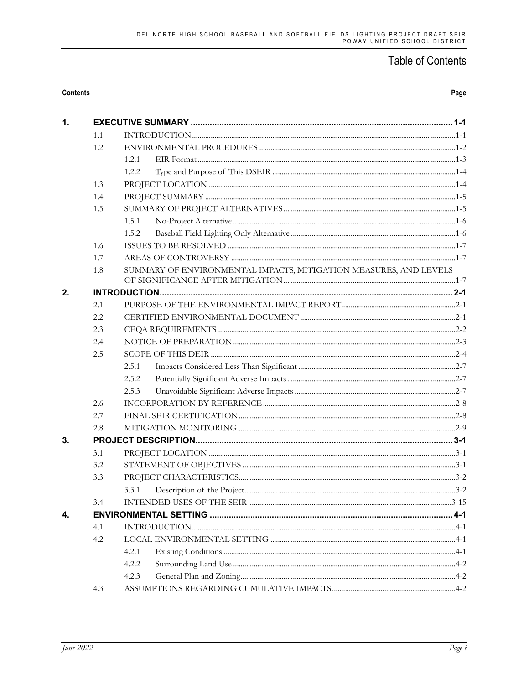| <b>Contents</b> |
|-----------------|
|-----------------|

| $\mathbf{1}$ . |     |                                                                   |  |  |  |
|----------------|-----|-------------------------------------------------------------------|--|--|--|
|                | 1.1 |                                                                   |  |  |  |
|                | 1.2 |                                                                   |  |  |  |
|                |     | 1.2.1                                                             |  |  |  |
|                |     | 1.2.2                                                             |  |  |  |
|                | 1.3 |                                                                   |  |  |  |
|                | 1.4 |                                                                   |  |  |  |
|                | 1.5 |                                                                   |  |  |  |
|                |     | 1.5.1                                                             |  |  |  |
|                |     | 1.5.2                                                             |  |  |  |
|                | 1.6 |                                                                   |  |  |  |
|                | 1.7 |                                                                   |  |  |  |
|                | 1.8 | SUMMARY OF ENVIRONMENTAL IMPACTS, MITIGATION MEASURES, AND LEVELS |  |  |  |
|                |     |                                                                   |  |  |  |
| 2.             |     |                                                                   |  |  |  |
|                | 2.1 |                                                                   |  |  |  |
|                | 2.2 |                                                                   |  |  |  |
|                | 2.3 |                                                                   |  |  |  |
|                | 2.4 |                                                                   |  |  |  |
|                | 2.5 |                                                                   |  |  |  |
|                |     | 2.5.1                                                             |  |  |  |
|                |     | 2.5.2                                                             |  |  |  |
|                |     | 2.5.3                                                             |  |  |  |
|                | 2.6 |                                                                   |  |  |  |
|                | 2.7 |                                                                   |  |  |  |
|                | 2.8 |                                                                   |  |  |  |
| 3.             |     |                                                                   |  |  |  |
|                | 3.1 |                                                                   |  |  |  |
|                | 3.2 |                                                                   |  |  |  |
|                | 3.3 |                                                                   |  |  |  |
|                |     | 3.3.1                                                             |  |  |  |
|                | 3.4 |                                                                   |  |  |  |
|                |     |                                                                   |  |  |  |
|                | 4.1 |                                                                   |  |  |  |
|                | 4.2 |                                                                   |  |  |  |
|                |     | 4.2.1                                                             |  |  |  |
|                |     | 4.2.2                                                             |  |  |  |
|                |     | 4.2.3                                                             |  |  |  |
|                | 4.3 |                                                                   |  |  |  |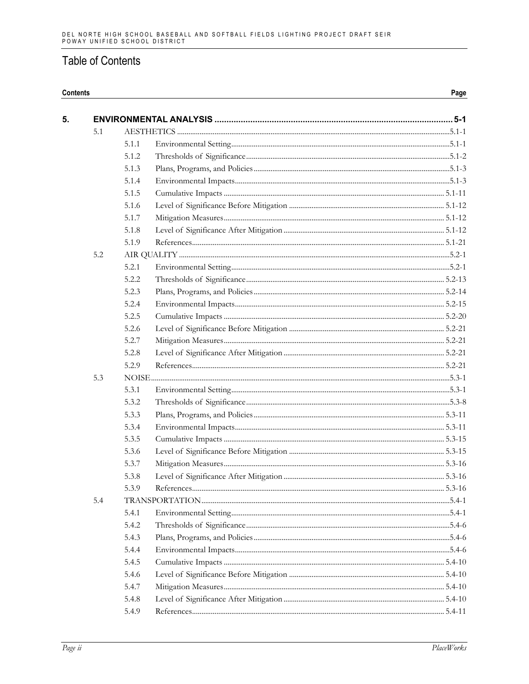#### Contents

5.

Page

| 5.1 |       |  |  |
|-----|-------|--|--|
|     | 5.1.1 |  |  |
|     | 5.1.2 |  |  |
|     | 5.1.3 |  |  |
|     | 5.1.4 |  |  |
|     | 5.1.5 |  |  |
|     | 5.1.6 |  |  |
|     | 5.1.7 |  |  |
|     | 5.1.8 |  |  |
|     | 5.1.9 |  |  |
| 5.2 |       |  |  |
|     | 5.2.1 |  |  |
|     | 5.2.2 |  |  |
|     | 5.2.3 |  |  |
|     | 5.2.4 |  |  |
|     | 5.2.5 |  |  |
|     | 5.2.6 |  |  |
|     | 5.2.7 |  |  |
|     | 5.2.8 |  |  |
|     | 5.2.9 |  |  |
| 5.3 |       |  |  |
|     | 5.3.1 |  |  |
|     | 5.3.2 |  |  |
|     | 5.3.3 |  |  |
|     | 5.3.4 |  |  |
|     | 5.3.5 |  |  |
|     | 5.3.6 |  |  |
|     | 5.3.7 |  |  |
|     | 5.3.8 |  |  |
|     | 5.3.9 |  |  |
| 5.4 |       |  |  |
|     | 5.4.1 |  |  |
|     | 5.4.2 |  |  |
|     | 5.4.3 |  |  |
|     | 5.4.4 |  |  |
|     | 5.4.5 |  |  |
|     | 5.4.6 |  |  |
|     | 5.4.7 |  |  |
|     | 5.4.8 |  |  |
|     | 5.4.9 |  |  |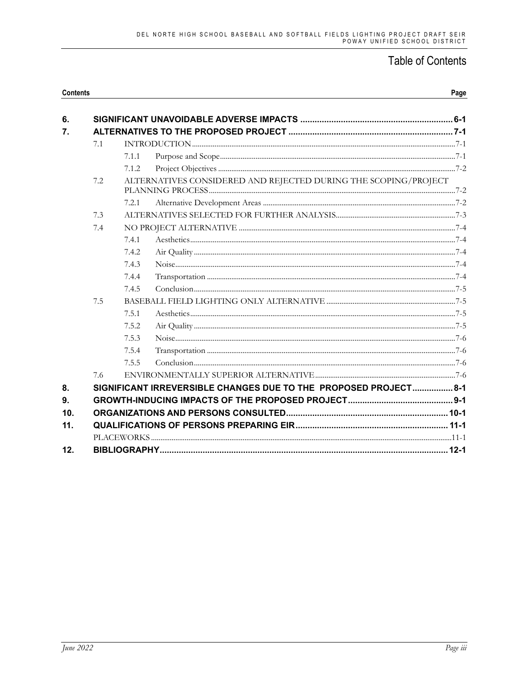| <b>Contents</b> |     |       |                                                                  | Page |
|-----------------|-----|-------|------------------------------------------------------------------|------|
| 6.              |     |       |                                                                  |      |
| 7.              |     |       |                                                                  |      |
|                 | 7.1 |       |                                                                  |      |
|                 |     | 7.1.1 |                                                                  |      |
|                 | 7.2 | 7.1.2 | ALTERNATIVES CONSIDERED AND REJECTED DURING THE SCOPING/PROJECT  |      |
|                 |     |       |                                                                  |      |
|                 |     | 7.2.1 |                                                                  |      |
|                 | 7.3 |       |                                                                  |      |
|                 | 7.4 |       |                                                                  |      |
|                 |     | 7.4.1 |                                                                  |      |
|                 |     | 7.4.2 |                                                                  |      |
|                 |     | 7.4.3 |                                                                  |      |
|                 |     | 7.4.4 |                                                                  |      |
|                 |     | 7.4.5 |                                                                  |      |
|                 | 7.5 |       |                                                                  |      |
|                 |     | 7.5.1 |                                                                  |      |
|                 |     | 7.5.2 |                                                                  |      |
|                 |     | 7.5.3 |                                                                  |      |
|                 |     | 7.5.4 |                                                                  |      |
|                 |     | 7.5.5 |                                                                  |      |
|                 | 7.6 |       |                                                                  |      |
| 8.              |     |       | SIGNIFICANT IRREVERSIBLE CHANGES DUE TO THE PROPOSED PROJECT 8-1 |      |
| 9.              |     |       |                                                                  |      |
| 10 <sub>1</sub> |     |       |                                                                  |      |
| 11.             |     |       |                                                                  |      |
|                 |     |       |                                                                  |      |
| 12.             |     |       |                                                                  |      |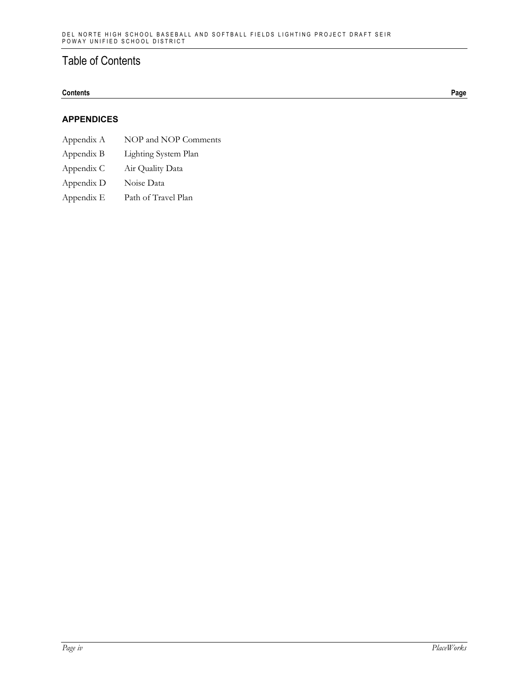### **Contents Page**

### **APPENDICES**

- Appendix A NOP and NOP Comments
- Appendix B Lighting System Plan
- Appendix C Air Quality Data
- Appendix D Noise Data
- Appendix E Path of Travel Plan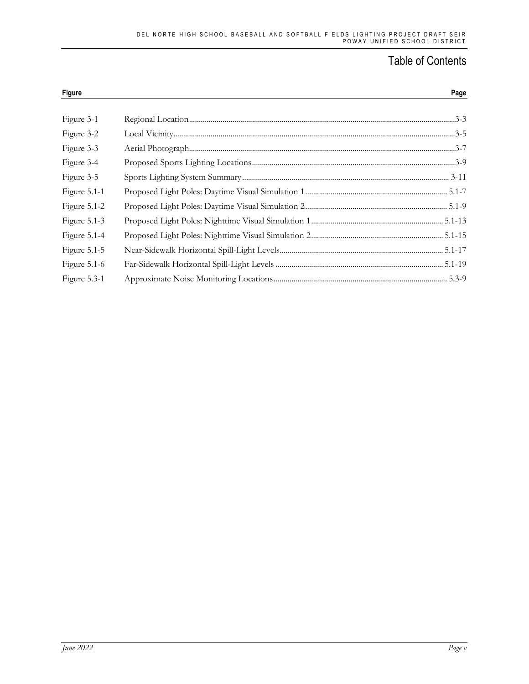| Figure       | Page |
|--------------|------|
| Figure 3-1   |      |
| Figure 3-2   |      |
| Figure 3-3   |      |
| Figure 3-4   |      |
| Figure 3-5   |      |
| Figure 5.1-1 |      |
| Figure 5.1-2 |      |
| Figure 5.1-3 |      |
| Figure 5.1-4 |      |
| Figure 5.1-5 |      |
| Figure 5.1-6 |      |
| Figure 5.3-1 |      |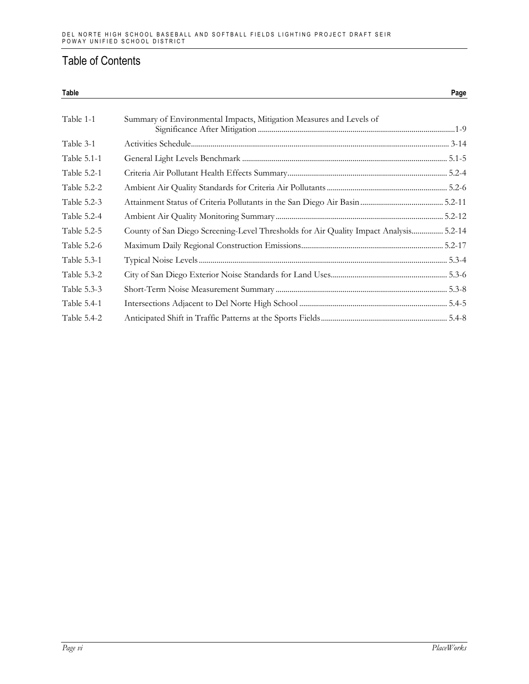| Table       |                                                                                       | Page |
|-------------|---------------------------------------------------------------------------------------|------|
| Table 1-1   | Summary of Environmental Impacts, Mitigation Measures and Levels of                   |      |
| Table 3-1   |                                                                                       |      |
| Table 5.1-1 |                                                                                       |      |
| Table 5.2-1 |                                                                                       |      |
| Table 5.2-2 |                                                                                       |      |
| Table 5.2-3 |                                                                                       |      |
| Table 5.2-4 |                                                                                       |      |
| Table 5.2-5 | County of San Diego Screening-Level Thresholds for Air Quality Impact Analysis 5.2-14 |      |
| Table 5.2-6 |                                                                                       |      |
| Table 5.3-1 |                                                                                       |      |
| Table 5.3-2 |                                                                                       |      |
| Table 5.3-3 |                                                                                       |      |
| Table 5.4-1 |                                                                                       |      |
| Table 5.4-2 |                                                                                       |      |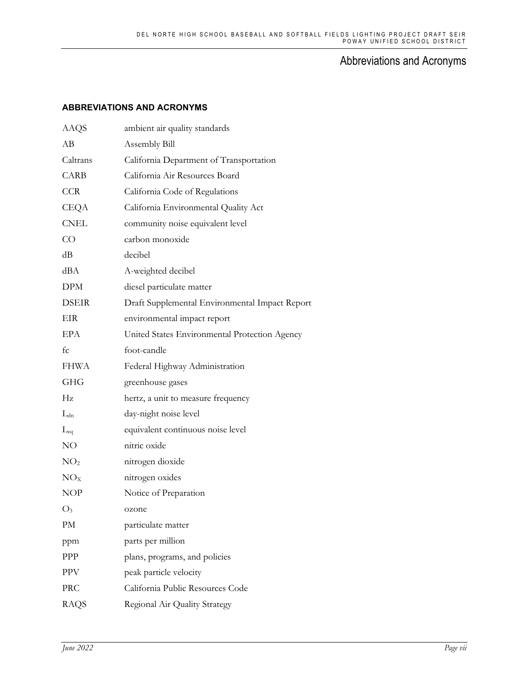## Abbreviations and Acronyms

### **ABBREVIATIONS AND ACRONYMS**

| <b>AAQS</b>     | ambient air quality standards                  |
|-----------------|------------------------------------------------|
| АB              | Assembly Bill                                  |
| Caltrans        | California Department of Transportation        |
| <b>CARB</b>     | California Air Resources Board                 |
| <b>CCR</b>      | California Code of Regulations                 |
| CEQA            | California Environmental Quality Act           |
| <b>CNEL</b>     | community noise equivalent level               |
| $\rm CO$        | carbon monoxide                                |
| dB              | decibel                                        |
| dBA             | A-weighted decibel                             |
| <b>DPM</b>      | diesel particulate matter                      |
| <b>DSEIR</b>    | Draft Supplemental Environmental Impact Report |
| EIR             | environmental impact report                    |
| <b>EPA</b>      | United States Environmental Protection Agency  |
| fc              | foot-candle                                    |
| FHWA            | Federal Highway Administration                 |
| <b>GHG</b>      | greenhouse gases                               |
| Hz              | hertz, a unit to measure frequency             |
| $L_{dn}$        | day-night noise level                          |
| $L_{eq}$        | equivalent continuous noise level              |
| NO              | nitric oxide                                   |
| NO <sub>2</sub> | nitrogen dioxide                               |
| NO <sub>X</sub> | nitrogen oxides                                |
| <b>NOP</b>      | Notice of Preparation                          |
| $O_3$           | ozone                                          |
| PM              | particulate matter                             |
| ppm             | parts per million                              |
| PPP             | plans, programs, and policies                  |
| <b>PPV</b>      | peak particle velocity                         |
| PRC             | California Public Resources Code               |
| RAQS            | Regional Air Quality Strategy                  |